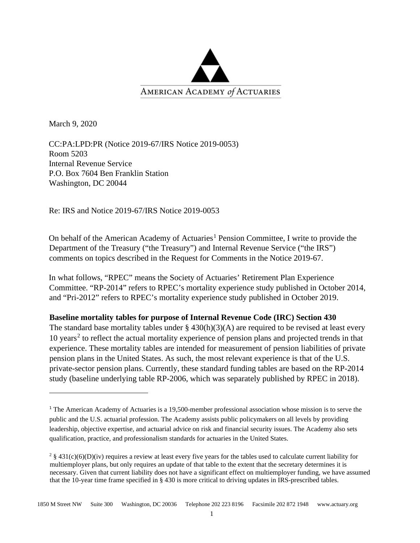

March 9, 2020

CC:PA:LPD:PR (Notice 2019-67/IRS Notice 2019-0053) Room 5203 Internal Revenue Service P.O. Box 7604 Ben Franklin Station Washington, DC 20044

Re: IRS and Notice 2019-67/IRS Notice 2019-0053

On behalf of the American Academy of Actuaries<sup>[1](#page-0-0)</sup> Pension Committee, I write to provide the Department of the Treasury ("the Treasury") and Internal Revenue Service ("the IRS") comments on topics described in the Request for Comments in the Notice 2019-67.

In what follows, "RPEC" means the Society of Actuaries' Retirement Plan Experience Committee. "RP-2014" refers to RPEC's mortality experience study published in October 2014, and "Pri-2012" refers to RPEC's mortality experience study published in October 2019.

## **Baseline mortality tables for purpose of Internal Revenue Code (IRC) Section 430**

The standard base mortality tables under  $\S$  430(h)(3)(A) are required to be revised at least every 10 years<sup>[2](#page-0-1)</sup> to reflect the actual mortality experience of pension plans and projected trends in that experience. These mortality tables are intended for measurement of pension liabilities of private pension plans in the United States. As such, the most relevant experience is that of the U.S. private-sector pension plans. Currently, these standard funding tables are based on the RP-2014 study (baseline underlying table RP-2006, which was separately published by RPEC in 2018).

<span id="page-0-0"></span><sup>&</sup>lt;sup>1</sup> The American Academy of Actuaries is a 19,500-member professional association whose mission is to serve the public and the U.S. actuarial profession. The Academy assists public policymakers on all levels by providing leadership, objective expertise, and actuarial advice on risk and financial security issues. The Academy also sets qualification, practice, and professionalism standards for actuaries in the United States.

<span id="page-0-1"></span> $2 \frac{1}{2}$  § 431(c)(6)(D)(iv) requires a review at least every five years for the tables used to calculate current liability for multiemployer plans, but only requires an update of that table to the extent that the secretary determines it is necessary. Given that current liability does not have a significant effect on multiemployer funding, we have assumed that the 10-year time frame specified in § 430 is more critical to driving updates in IRS-prescribed tables.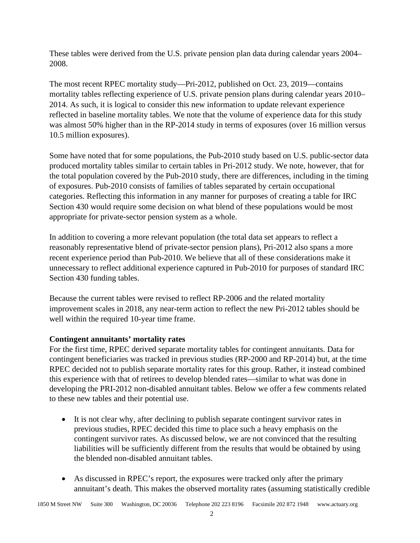These tables were derived from the U.S. private pension plan data during calendar years 2004– 2008.

The most recent RPEC mortality study—Pri-2012, published on Oct. 23, 2019—contains mortality tables reflecting experience of U.S. private pension plans during calendar years 2010– 2014. As such, it is logical to consider this new information to update relevant experience reflected in baseline mortality tables. We note that the volume of experience data for this study was almost 50% higher than in the RP-2014 study in terms of exposures (over 16 million versus 10.5 million exposures).

Some have noted that for some populations, the Pub-2010 study based on U.S. public-sector data produced mortality tables similar to certain tables in Pri-2012 study. We note, however, that for the total population covered by the Pub-2010 study, there are differences, including in the timing of exposures. Pub-2010 consists of families of tables separated by certain occupational categories. Reflecting this information in any manner for purposes of creating a table for IRC Section 430 would require some decision on what blend of these populations would be most appropriate for private-sector pension system as a whole.

In addition to covering a more relevant population (the total data set appears to reflect a reasonably representative blend of private-sector pension plans), Pri-2012 also spans a more recent experience period than Pub-2010. We believe that all of these considerations make it unnecessary to reflect additional experience captured in Pub-2010 for purposes of standard IRC Section 430 funding tables.

Because the current tables were revised to reflect RP-2006 and the related mortality improvement scales in 2018, any near-term action to reflect the new Pri-2012 tables should be well within the required 10-year time frame.

## **Contingent annuitants' mortality rates**

For the first time, RPEC derived separate mortality tables for contingent annuitants. Data for contingent beneficiaries was tracked in previous studies (RP-2000 and RP-2014) but, at the time RPEC decided not to publish separate mortality rates for this group. Rather, it instead combined this experience with that of retirees to develop blended rates—similar to what was done in developing the PRI-2012 non-disabled annuitant tables. Below we offer a few comments related to these new tables and their potential use.

- It is not clear why, after declining to publish separate contingent survivor rates in previous studies, RPEC decided this time to place such a heavy emphasis on the contingent survivor rates. As discussed below, we are not convinced that the resulting liabilities will be sufficiently different from the results that would be obtained by using the blended non-disabled annuitant tables.
- As discussed in RPEC's report, the exposures were tracked only after the primary annuitant's death. This makes the observed mortality rates (assuming statistically credible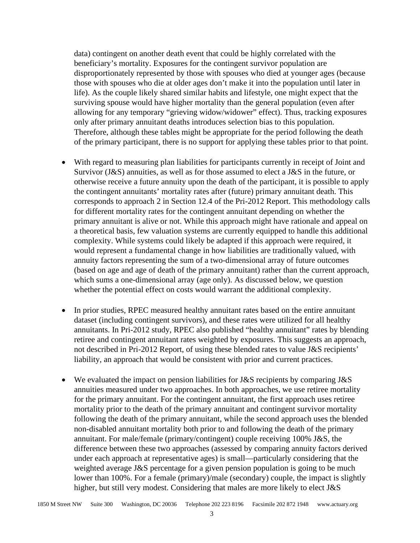data) contingent on another death event that could be highly correlated with the beneficiary's mortality. Exposures for the contingent survivor population are disproportionately represented by those with spouses who died at younger ages (because those with spouses who die at older ages don't make it into the population until later in life). As the couple likely shared similar habits and lifestyle, one might expect that the surviving spouse would have higher mortality than the general population (even after allowing for any temporary "grieving widow/widower" effect). Thus, tracking exposures only after primary annuitant deaths introduces selection bias to this population. Therefore, although these tables might be appropriate for the period following the death of the primary participant, there is no support for applying these tables prior to that point.

- With regard to measuring plan liabilities for participants currently in receipt of Joint and Survivor ( $J\&S$ ) annuities, as well as for those assumed to elect a  $J\&S$  in the future, or otherwise receive a future annuity upon the death of the participant, it is possible to apply the contingent annuitants' mortality rates after (future) primary annuitant death. This corresponds to approach 2 in Section 12.4 of the Pri-2012 Report. This methodology calls for different mortality rates for the contingent annuitant depending on whether the primary annuitant is alive or not. While this approach might have rationale and appeal on a theoretical basis, few valuation systems are currently equipped to handle this additional complexity. While systems could likely be adapted if this approach were required, it would represent a fundamental change in how liabilities are traditionally valued, with annuity factors representing the sum of a two-dimensional array of future outcomes (based on age and age of death of the primary annuitant) rather than the current approach, which sums a one-dimensional array (age only). As discussed below, we question whether the potential effect on costs would warrant the additional complexity.
- In prior studies, RPEC measured healthy annuitant rates based on the entire annuitant dataset (including contingent survivors), and these rates were utilized for all healthy annuitants. In Pri-2012 study, RPEC also published "healthy annuitant" rates by blending retiree and contingent annuitant rates weighted by exposures. This suggests an approach, not described in Pri-2012 Report, of using these blended rates to value J&S recipients' liability, an approach that would be consistent with prior and current practices.
- We evaluated the impact on pension liabilities for J&S recipients by comparing J&S annuities measured under two approaches. In both approaches, we use retiree mortality for the primary annuitant. For the contingent annuitant, the first approach uses retiree mortality prior to the death of the primary annuitant and contingent survivor mortality following the death of the primary annuitant, while the second approach uses the blended non-disabled annuitant mortality both prior to and following the death of the primary annuitant. For male/female (primary/contingent) couple receiving 100% J&S, the difference between these two approaches (assessed by comparing annuity factors derived under each approach at representative ages) is small—particularly considering that the weighted average J&S percentage for a given pension population is going to be much lower than 100%. For a female (primary)/male (secondary) couple, the impact is slightly higher, but still very modest. Considering that males are more likely to elect J&S